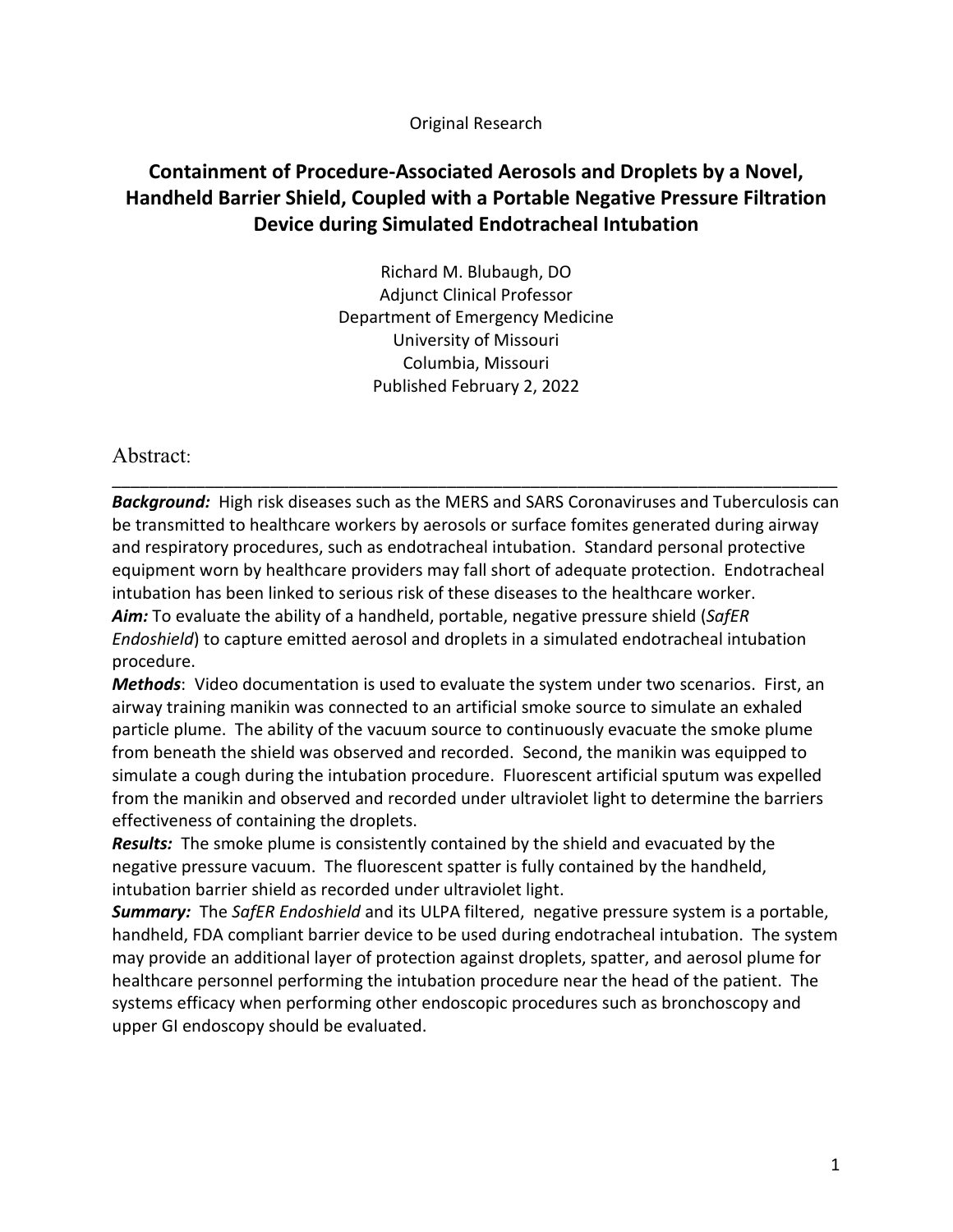Original Research

# **Containment of Procedure-Associated Aerosols and Droplets by a Novel, Handheld Barrier Shield, Coupled with a Portable Negative Pressure Filtration Device during Simulated Endotracheal Intubation**

Richard M. Blubaugh, DO Adjunct Clinical Professor Department of Emergency Medicine University of Missouri Columbia, Missouri Published February 2, 2022

Abstract:

\_\_\_\_\_\_\_\_\_\_\_\_\_\_\_\_\_\_\_\_\_\_\_\_\_\_\_\_\_\_\_\_\_\_\_\_\_\_\_\_\_\_\_\_\_\_\_\_\_\_\_\_\_\_\_\_\_\_\_\_\_\_\_\_\_\_\_\_\_\_\_\_\_\_\_\_\_\_ *Background:* High risk diseases such as the MERS and SARS Coronaviruses and Tuberculosis can be transmitted to healthcare workers by aerosols or surface fomites generated during airway and respiratory procedures, such as endotracheal intubation. Standard personal protective equipment worn by healthcare providers may fall short of adequate protection. Endotracheal intubation has been linked to serious risk of these diseases to the healthcare worker. *Aim:* To evaluate the ability of a handheld, portable, negative pressure shield (*SafER Endoshield*) to capture emitted aerosol and droplets in a simulated endotracheal intubation procedure.

*Methods*: Video documentation is used to evaluate the system under two scenarios. First, an airway training manikin was connected to an artificial smoke source to simulate an exhaled particle plume. The ability of the vacuum source to continuously evacuate the smoke plume from beneath the shield was observed and recorded. Second, the manikin was equipped to simulate a cough during the intubation procedure. Fluorescent artificial sputum was expelled from the manikin and observed and recorded under ultraviolet light to determine the barriers effectiveness of containing the droplets.

*Results:* The smoke plume is consistently contained by the shield and evacuated by the negative pressure vacuum. The fluorescent spatter is fully contained by the handheld, intubation barrier shield as recorded under ultraviolet light.

*Summary:* The *SafER Endoshield* and its ULPA filtered, negative pressure system is a portable, handheld, FDA compliant barrier device to be used during endotracheal intubation. The system may provide an additional layer of protection against droplets, spatter, and aerosol plume for healthcare personnel performing the intubation procedure near the head of the patient. The systems efficacy when performing other endoscopic procedures such as bronchoscopy and upper GI endoscopy should be evaluated.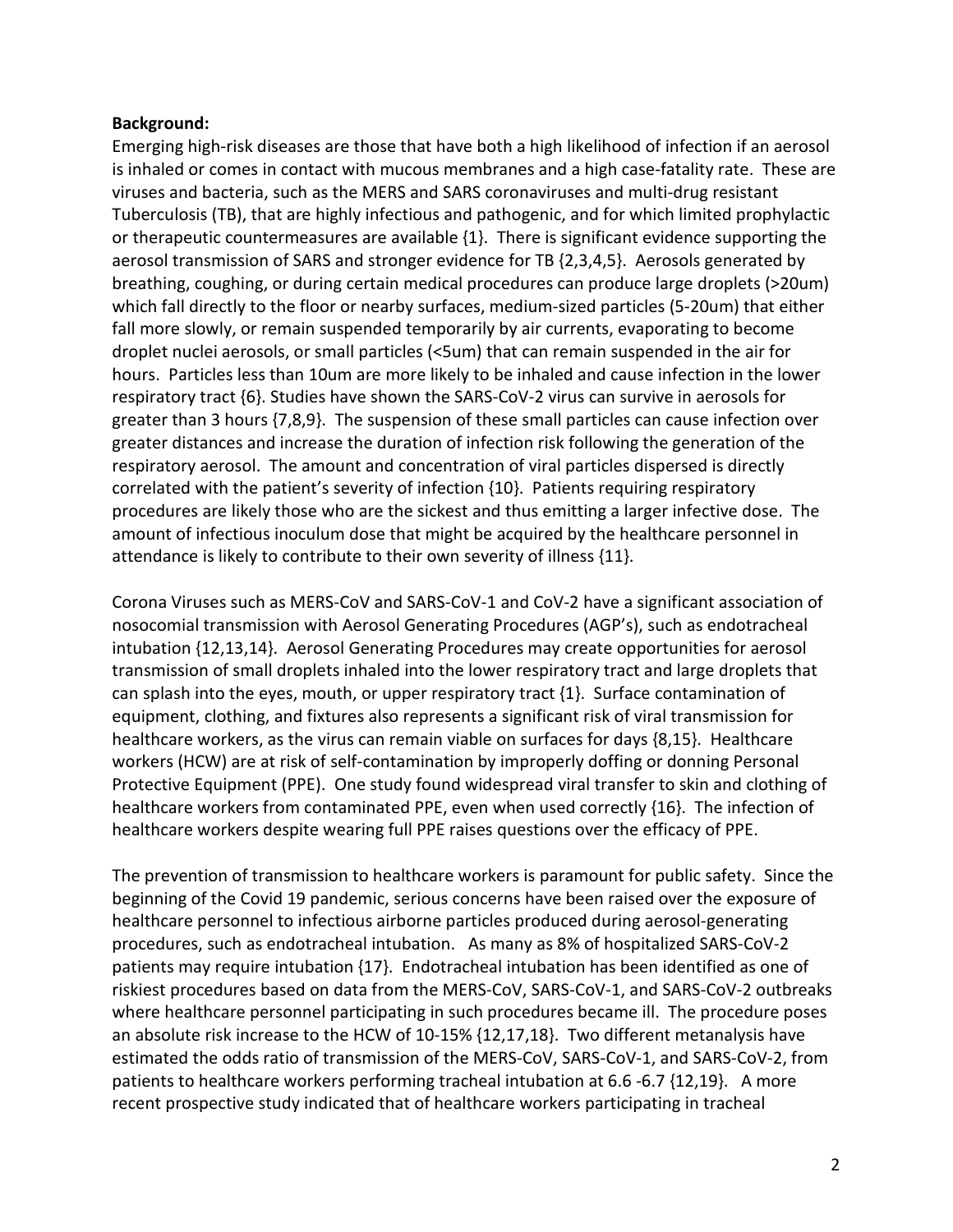### **Background:**

Emerging high-risk diseases are those that have both a high likelihood of infection if an aerosol is inhaled or comes in contact with mucous membranes and a high case-fatality rate. These are viruses and bacteria, such as the MERS and SARS coronaviruses and multi-drug resistant Tuberculosis (TB), that are highly infectious and pathogenic, and for which limited prophylactic or therapeutic countermeasures are available {1}. There is significant evidence supporting the aerosol transmission of SARS and stronger evidence for TB {2,3,4,5}. Aerosols generated by breathing, coughing, or during certain medical procedures can produce large droplets (>20um) which fall directly to the floor or nearby surfaces, medium-sized particles (5-20um) that either fall more slowly, or remain suspended temporarily by air currents, evaporating to become droplet nuclei aerosols, or small particles (<5um) that can remain suspended in the air for hours. Particles less than 10um are more likely to be inhaled and cause infection in the lower respiratory tract {6}. Studies have shown the SARS-CoV-2 virus can survive in aerosols for greater than 3 hours {7,8,9}. The suspension of these small particles can cause infection over greater distances and increase the duration of infection risk following the generation of the respiratory aerosol. The amount and concentration of viral particles dispersed is directly correlated with the patient's severity of infection {10}. Patients requiring respiratory procedures are likely those who are the sickest and thus emitting a larger infective dose. The amount of infectious inoculum dose that might be acquired by the healthcare personnel in attendance is likely to contribute to their own severity of illness {11}.

Corona Viruses such as MERS-CoV and SARS-CoV-1 and CoV-2 have a significant association of nosocomial transmission with Aerosol Generating Procedures (AGP's), such as endotracheal intubation {12,13,14}. Aerosol Generating Procedures may create opportunities for aerosol transmission of small droplets inhaled into the lower respiratory tract and large droplets that can splash into the eyes, mouth, or upper respiratory tract {1}. Surface contamination of equipment, clothing, and fixtures also represents a significant risk of viral transmission for healthcare workers, as the virus can remain viable on surfaces for days {8,15}. Healthcare workers (HCW) are at risk of self-contamination by improperly doffing or donning Personal Protective Equipment (PPE). One study found widespread viral transfer to skin and clothing of healthcare workers from contaminated PPE, even when used correctly {16}. The infection of healthcare workers despite wearing full PPE raises questions over the efficacy of PPE.

The prevention of transmission to healthcare workers is paramount for public safety. Since the beginning of the Covid 19 pandemic, serious concerns have been raised over the exposure of healthcare personnel to infectious airborne particles produced during aerosol-generating procedures, such as endotracheal intubation. As many as 8% of hospitalized SARS-CoV-2 patients may require intubation {17}. Endotracheal intubation has been identified as one of riskiest procedures based on data from the MERS-CoV, SARS-CoV-1, and SARS-CoV-2 outbreaks where healthcare personnel participating in such procedures became ill. The procedure poses an absolute risk increase to the HCW of 10-15% {12,17,18}. Two different metanalysis have estimated the odds ratio of transmission of the MERS-CoV, SARS-CoV-1, and SARS-CoV-2, from patients to healthcare workers performing tracheal intubation at 6.6 -6.7 {12,19}. A more recent prospective study indicated that of healthcare workers participating in tracheal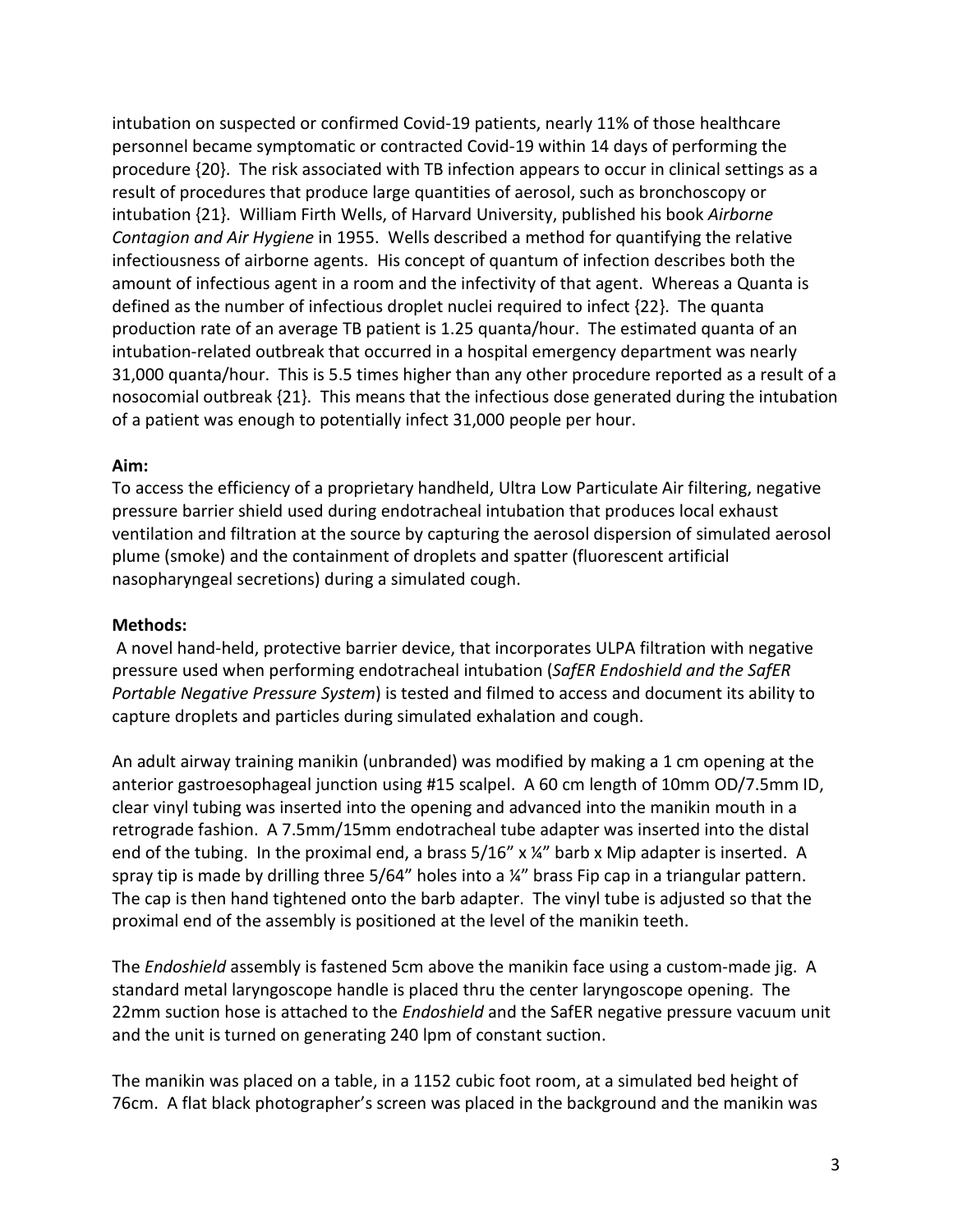intubation on suspected or confirmed Covid-19 patients, nearly 11% of those healthcare personnel became symptomatic or contracted Covid-19 within 14 days of performing the procedure {20}. The risk associated with TB infection appears to occur in clinical settings as a result of procedures that produce large quantities of aerosol, such as bronchoscopy or intubation {21}. William Firth Wells, of Harvard University, published his book *Airborne Contagion and Air Hygiene* in 1955. Wells described a method for quantifying the relative infectiousness of airborne agents. His concept of quantum of infection describes both the amount of infectious agent in a room and the infectivity of that agent. Whereas a Quanta is defined as the number of infectious droplet nuclei required to infect {22}. The quanta production rate of an average TB patient is 1.25 quanta/hour. The estimated quanta of an intubation-related outbreak that occurred in a hospital emergency department was nearly 31,000 quanta/hour. This is 5.5 times higher than any other procedure reported as a result of a nosocomial outbreak {21}. This means that the infectious dose generated during the intubation of a patient was enough to potentially infect 31,000 people per hour.

### **Aim:**

To access the efficiency of a proprietary handheld, Ultra Low Particulate Air filtering, negative pressure barrier shield used during endotracheal intubation that produces local exhaust ventilation and filtration at the source by capturing the aerosol dispersion of simulated aerosol plume (smoke) and the containment of droplets and spatter (fluorescent artificial nasopharyngeal secretions) during a simulated cough.

## **Methods:**

A novel hand-held, protective barrier device, that incorporates ULPA filtration with negative pressure used when performing endotracheal intubation (*SafER Endoshield and the SafER Portable Negative Pressure System*) is tested and filmed to access and document its ability to capture droplets and particles during simulated exhalation and cough.

An adult airway training manikin (unbranded) was modified by making a 1 cm opening at the anterior gastroesophageal junction using #15 scalpel. A 60 cm length of 10mm OD/7.5mm ID, clear vinyl tubing was inserted into the opening and advanced into the manikin mouth in a retrograde fashion. A 7.5mm/15mm endotracheal tube adapter was inserted into the distal end of the tubing. In the proximal end, a brass  $5/16''$  x  $\frac{1}{4}''$  barb x Mip adapter is inserted. A spray tip is made by drilling three  $5/64$ " holes into a  $\frac{1}{4}$ " brass Fip cap in a triangular pattern. The cap is then hand tightened onto the barb adapter. The vinyl tube is adjusted so that the proximal end of the assembly is positioned at the level of the manikin teeth.

The *Endoshield* assembly is fastened 5cm above the manikin face using a custom-made jig. A standard metal laryngoscope handle is placed thru the center laryngoscope opening. The 22mm suction hose is attached to the *Endoshield* and the SafER negative pressure vacuum unit and the unit is turned on generating 240 lpm of constant suction.

The manikin was placed on a table, in a 1152 cubic foot room, at a simulated bed height of 76cm. A flat black photographer's screen was placed in the background and the manikin was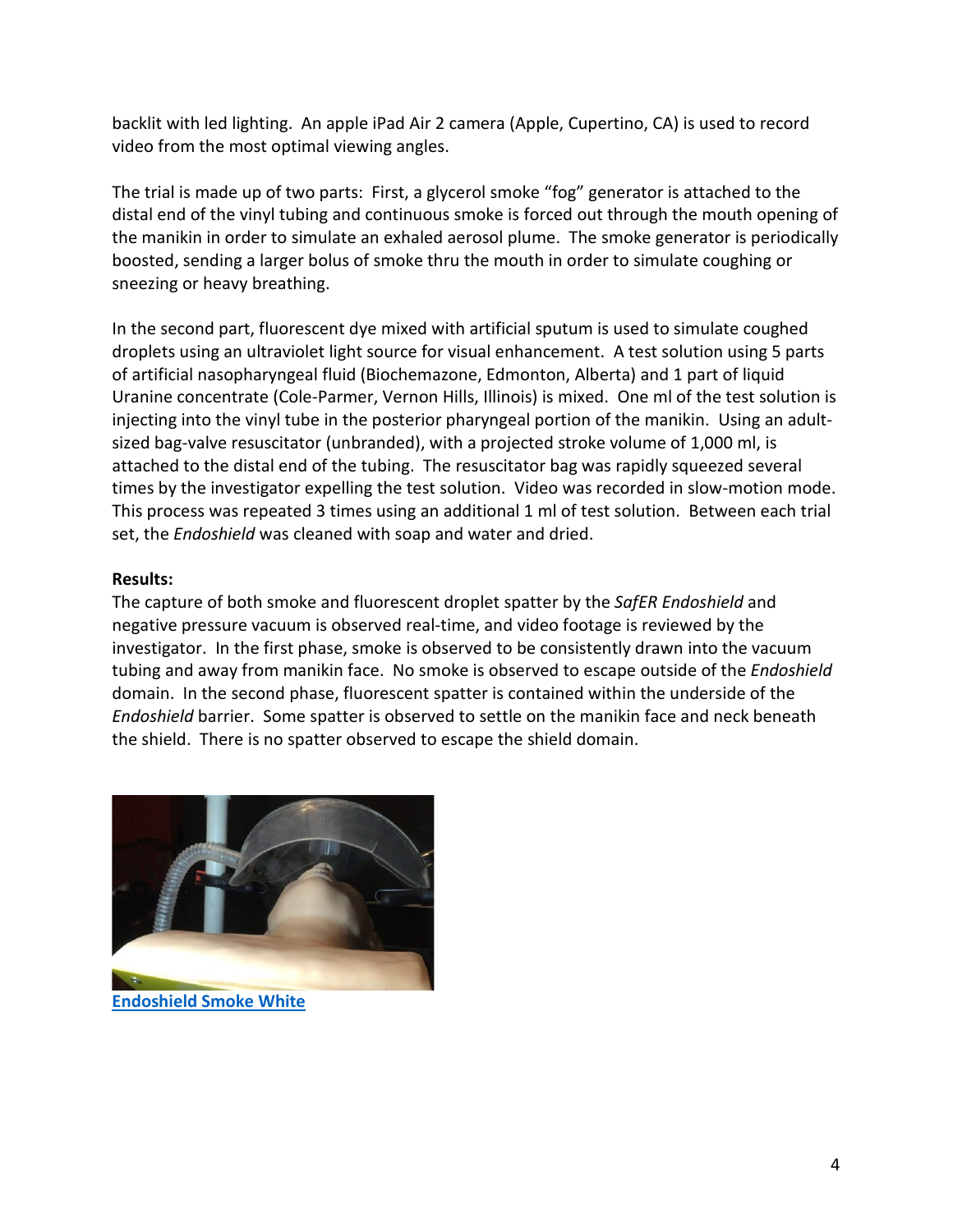backlit with led lighting. An apple iPad Air 2 camera (Apple, Cupertino, CA) is used to record video from the most optimal viewing angles.

The trial is made up of two parts: First, a glycerol smoke "fog" generator is attached to the distal end of the vinyl tubing and continuous smoke is forced out through the mouth opening of the manikin in order to simulate an exhaled aerosol plume. The smoke generator is periodically boosted, sending a larger bolus of smoke thru the mouth in order to simulate coughing or sneezing or heavy breathing.

In the second part, fluorescent dye mixed with artificial sputum is used to simulate coughed droplets using an ultraviolet light source for visual enhancement. A test solution using 5 parts of artificial nasopharyngeal fluid (Biochemazone, Edmonton, Alberta) and 1 part of liquid Uranine concentrate (Cole-Parmer, Vernon Hills, Illinois) is mixed. One ml of the test solution is injecting into the vinyl tube in the posterior pharyngeal portion of the manikin. Using an adultsized bag-valve resuscitator (unbranded), with a projected stroke volume of 1,000 ml, is attached to the distal end of the tubing. The resuscitator bag was rapidly squeezed several times by the investigator expelling the test solution. Video was recorded in slow-motion mode. This process was repeated 3 times using an additional 1 ml of test solution. Between each trial set, the *Endoshield* was cleaned with soap and water and dried.

## **Results:**

The capture of both smoke and fluorescent droplet spatter by the *SafER Endoshield* and negative pressure vacuum is observed real-time, and video footage is reviewed by the investigator. In the first phase, smoke is observed to be consistently drawn into the vacuum tubing and away from manikin face. No smoke is observed to escape outside of the *Endoshield* domain. In the second phase, fluorescent spatter is contained within the underside of the *Endoshield* barrier. Some spatter is observed to settle on the manikin face and neck beneath the shield. There is no spatter observed to escape the shield domain.



**[Endoshield Smoke White](https://www.youtube.com/watch?v=1WKyK5stVos&list=PLlSV23EfKxVEKOI61rVBNSSdDNj6aiWHf)**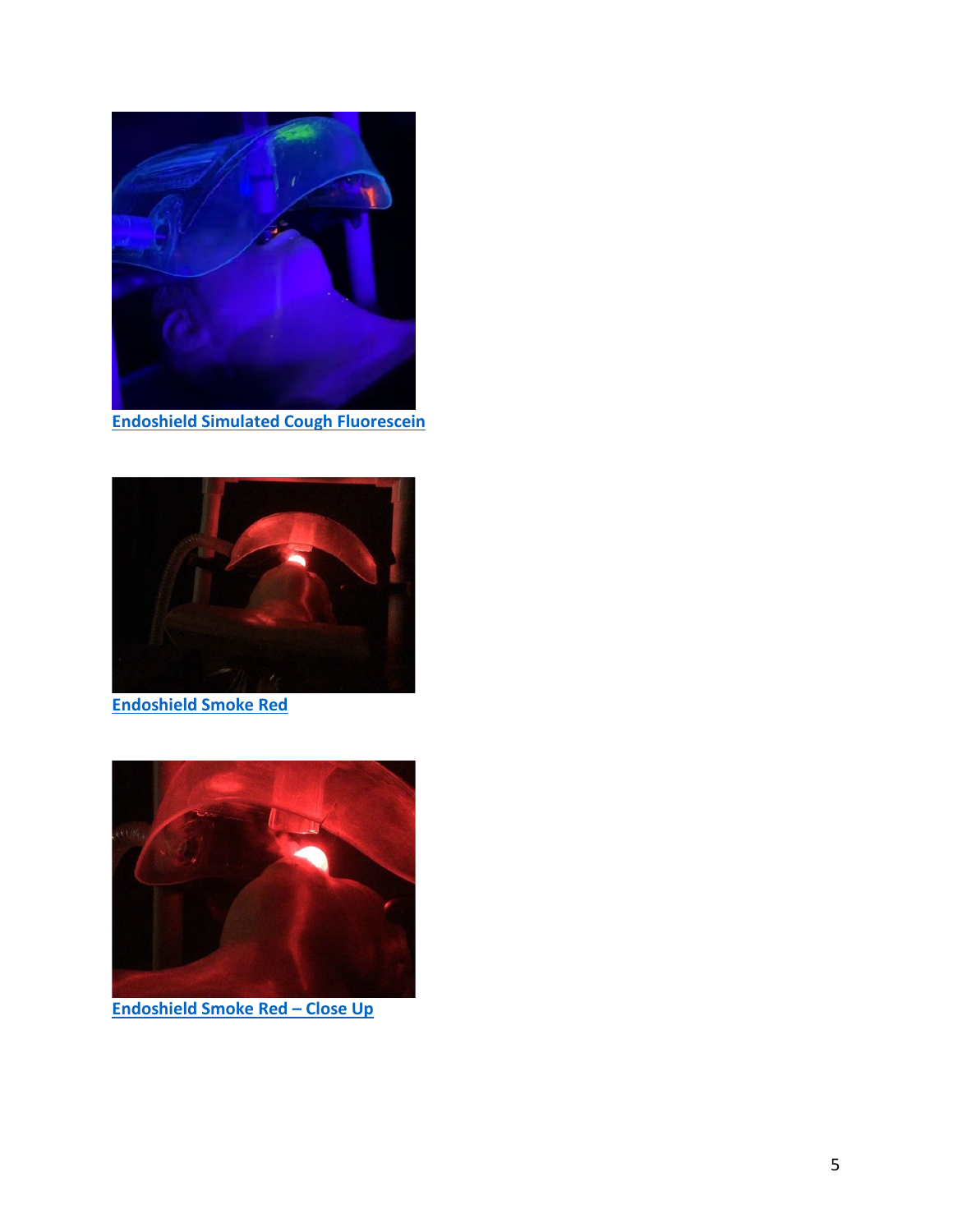

**[Endoshield Simulated Cough Fluorescein](https://www.youtube.com/watch?v=rSx4xgEgpXo&list=PLlSV23EfKxVEKOI61rVBNSSdDNj6aiWHf&index=4)**



**[Endoshield Smoke Red](https://www.youtube.com/watch?v=Sx18fj2N70s&list=PLlSV23EfKxVEKOI61rVBNSSdDNj6aiWHf&index=3)**



**[Endoshield Smoke Red –](https://www.youtube.com/watch?v=r3WevhcKZzw&list=PLlSV23EfKxVEKOI61rVBNSSdDNj6aiWHf&index=4) Close Up**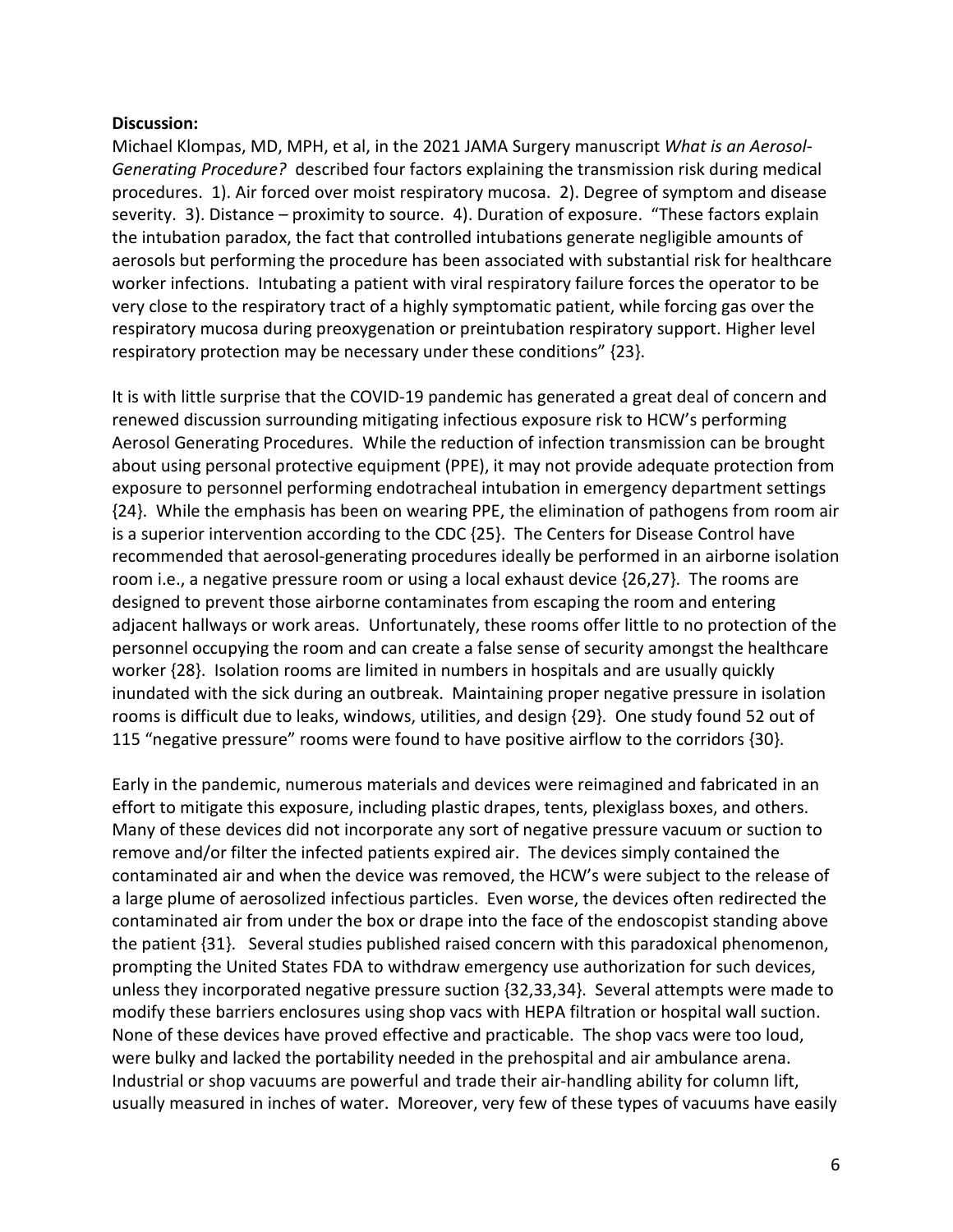#### **Discussion:**

Michael Klompas, MD, MPH, et al, in the 2021 JAMA Surgery manuscript *What is an Aerosol-Generating Procedure?* described four factors explaining the transmission risk during medical procedures. 1). Air forced over moist respiratory mucosa. 2). Degree of symptom and disease severity. 3). Distance – proximity to source. 4). Duration of exposure. "These factors explain the intubation paradox, the fact that controlled intubations generate negligible amounts of aerosols but performing the procedure has been associated with substantial risk for healthcare worker infections. Intubating a patient with viral respiratory failure forces the operator to be very close to the respiratory tract of a highly symptomatic patient, while forcing gas over the respiratory mucosa during preoxygenation or preintubation respiratory support. Higher level respiratory protection may be necessary under these conditions" {23}.

It is with little surprise that the COVID-19 pandemic has generated a great deal of concern and renewed discussion surrounding mitigating infectious exposure risk to HCW's performing Aerosol Generating Procedures. While the reduction of infection transmission can be brought about using personal protective equipment (PPE), it may not provide adequate protection from exposure to personnel performing endotracheal intubation in emergency department settings {24}. While the emphasis has been on wearing PPE, the elimination of pathogens from room air is a superior intervention according to the CDC {25}. The Centers for Disease Control have recommended that aerosol-generating procedures ideally be performed in an airborne isolation room i.e., a negative pressure room or using a local exhaust device {26,27}. The rooms are designed to prevent those airborne contaminates from escaping the room and entering adjacent hallways or work areas. Unfortunately, these rooms offer little to no protection of the personnel occupying the room and can create a false sense of security amongst the healthcare worker {28}. Isolation rooms are limited in numbers in hospitals and are usually quickly inundated with the sick during an outbreak. Maintaining proper negative pressure in isolation rooms is difficult due to leaks, windows, utilities, and design {29}. One study found 52 out of 115 "negative pressure" rooms were found to have positive airflow to the corridors {30}.

Early in the pandemic, numerous materials and devices were reimagined and fabricated in an effort to mitigate this exposure, including plastic drapes, tents, plexiglass boxes, and others. Many of these devices did not incorporate any sort of negative pressure vacuum or suction to remove and/or filter the infected patients expired air. The devices simply contained the contaminated air and when the device was removed, the HCW's were subject to the release of a large plume of aerosolized infectious particles. Even worse, the devices often redirected the contaminated air from under the box or drape into the face of the endoscopist standing above the patient {31}. Several studies published raised concern with this paradoxical phenomenon, prompting the United States FDA to withdraw emergency use authorization for such devices, unless they incorporated negative pressure suction {32,33,34}. Several attempts were made to modify these barriers enclosures using shop vacs with HEPA filtration or hospital wall suction. None of these devices have proved effective and practicable. The shop vacs were too loud, were bulky and lacked the portability needed in the prehospital and air ambulance arena. Industrial or shop vacuums are powerful and trade their air-handling ability for column lift, usually measured in inches of water. Moreover, very few of these types of vacuums have easily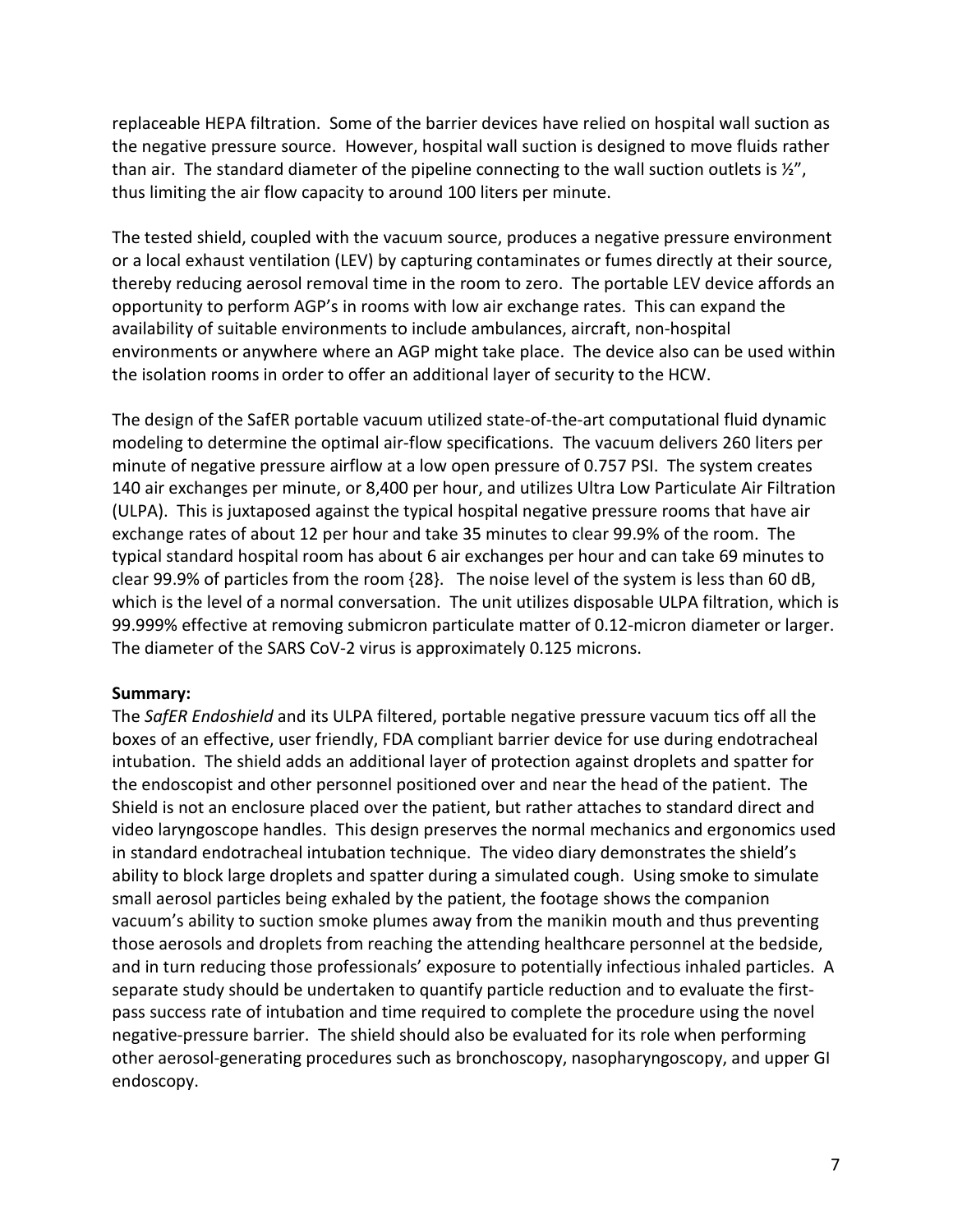replaceable HEPA filtration. Some of the barrier devices have relied on hospital wall suction as the negative pressure source. However, hospital wall suction is designed to move fluids rather than air. The standard diameter of the pipeline connecting to the wall suction outlets is  $\frac{1}{2}$ , thus limiting the air flow capacity to around 100 liters per minute.

The tested shield, coupled with the vacuum source, produces a negative pressure environment or a local exhaust ventilation (LEV) by capturing contaminates or fumes directly at their source, thereby reducing aerosol removal time in the room to zero. The portable LEV device affords an opportunity to perform AGP's in rooms with low air exchange rates. This can expand the availability of suitable environments to include ambulances, aircraft, non-hospital environments or anywhere where an AGP might take place. The device also can be used within the isolation rooms in order to offer an additional layer of security to the HCW.

The design of the SafER portable vacuum utilized state-of-the-art computational fluid dynamic modeling to determine the optimal air-flow specifications. The vacuum delivers 260 liters per minute of negative pressure airflow at a low open pressure of 0.757 PSI. The system creates 140 air exchanges per minute, or 8,400 per hour, and utilizes Ultra Low Particulate Air Filtration (ULPA). This is juxtaposed against the typical hospital negative pressure rooms that have air exchange rates of about 12 per hour and take 35 minutes to clear 99.9% of the room. The typical standard hospital room has about 6 air exchanges per hour and can take 69 minutes to clear 99.9% of particles from the room {28}. The noise level of the system is less than 60 dB, which is the level of a normal conversation. The unit utilizes disposable ULPA filtration, which is 99.999% effective at removing submicron particulate matter of 0.12-micron diameter or larger. The diameter of the SARS CoV-2 virus is approximately 0.125 microns.

#### **Summary:**

The *SafER Endoshield* and its ULPA filtered, portable negative pressure vacuum tics off all the boxes of an effective, user friendly, FDA compliant barrier device for use during endotracheal intubation. The shield adds an additional layer of protection against droplets and spatter for the endoscopist and other personnel positioned over and near the head of the patient. The Shield is not an enclosure placed over the patient, but rather attaches to standard direct and video laryngoscope handles. This design preserves the normal mechanics and ergonomics used in standard endotracheal intubation technique. The video diary demonstrates the shield's ability to block large droplets and spatter during a simulated cough. Using smoke to simulate small aerosol particles being exhaled by the patient, the footage shows the companion vacuum's ability to suction smoke plumes away from the manikin mouth and thus preventing those aerosols and droplets from reaching the attending healthcare personnel at the bedside, and in turn reducing those professionals' exposure to potentially infectious inhaled particles. A separate study should be undertaken to quantify particle reduction and to evaluate the firstpass success rate of intubation and time required to complete the procedure using the novel negative-pressure barrier. The shield should also be evaluated for its role when performing other aerosol-generating procedures such as bronchoscopy, nasopharyngoscopy, and upper GI endoscopy.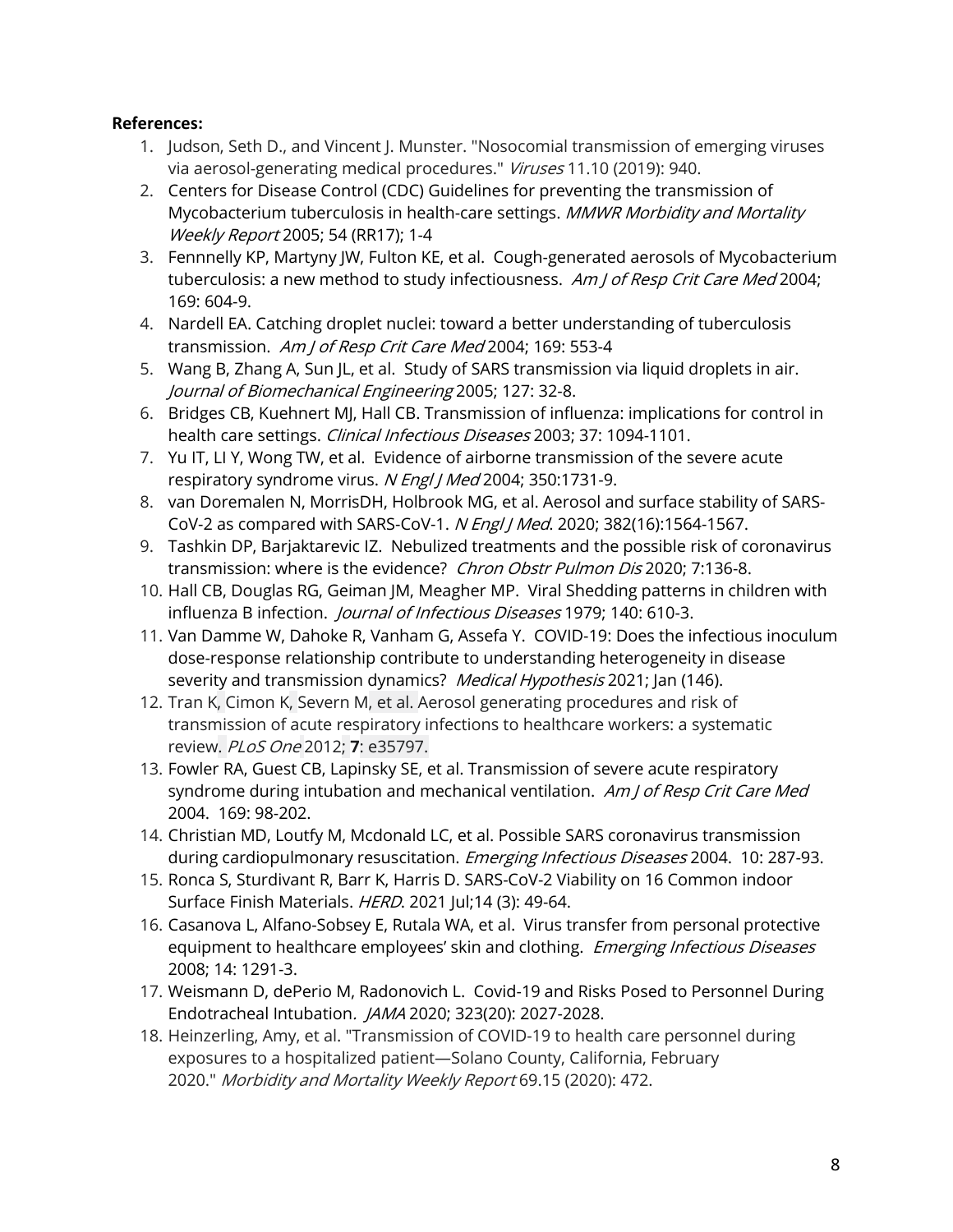# **References:**

- 1. Judson, Seth D., and Vincent J. Munster. "Nosocomial transmission of emerging viruses via aerosol-generating medical procedures." Viruses 11.10 (2019): 940.
- 2. Centers for Disease Control (CDC) Guidelines for preventing the transmission of Mycobacterium tuberculosis in health-care settings. MMWR Morbidity and Mortality Weekly Report 2005; 54 (RR17); 1-4
- 3. Fennnelly KP, Martyny JW, Fulton KE, et al. Cough-generated aerosols of Mycobacterium tuberculosis: a new method to study infectiousness. Am J of Resp Crit Care Med 2004; 169: 604-9.
- 4. Nardell EA. Catching droplet nuclei: toward a better understanding of tuberculosis transmission. Am J of Resp Crit Care Med 2004; 169: 553-4
- 5. Wang B, Zhang A, Sun JL, et al. Study of SARS transmission via liquid droplets in air. Journal of Biomechanical Engineering 2005; 127: 32-8.
- 6. Bridges CB, Kuehnert MJ, Hall CB. Transmission of influenza: implications for control in health care settings. Clinical Infectious Diseases 2003; 37: 1094-1101.
- 7. Yu IT, LI Y, Wong TW, et al. Evidence of airborne transmission of the severe acute respiratory syndrome virus. N Engl J Med 2004; 350:1731-9.
- 8. van Doremalen N, MorrisDH, Holbrook MG, et al. Aerosol and surface stability of SARS-CoV-2 as compared with SARS-CoV-1. N Engl J Med. 2020; 382(16):1564-1567.
- 9. Tashkin DP, Barjaktarevic IZ. Nebulized treatments and the possible risk of coronavirus transmission: where is the evidence? Chron Obstr Pulmon Dis 2020; 7:136-8.
- 10. Hall CB, Douglas RG, Geiman JM, Meagher MP. Viral Shedding patterns in children with influenza B infection. *Journal of Infectious Diseases* 1979; 140: 610-3.
- 11. Van Damme W, Dahoke R, Vanham G, Assefa Y. COVID-19: Does the infectious inoculum dose-response relationship contribute to understanding heterogeneity in disease severity and transmission dynamics? Medical Hypothesis 2021; Jan (146).
- 12. Tran K, Cimon K, Severn M, et al. Aerosol generating procedures and risk of transmission of acute respiratory infections to healthcare workers: a systematic review. PLoS One 2012; **7**: e35797.
- 13. Fowler RA, Guest CB, Lapinsky SE, et al. Transmission of severe acute respiratory syndrome during intubation and mechanical ventilation. Am J of Resp Crit Care Med 2004. 169: 98-202.
- 14. Christian MD, Loutfy M, Mcdonald LC, et al. Possible SARS coronavirus transmission during cardiopulmonary resuscitation. Emerging Infectious Diseases 2004. 10: 287-93.
- 15. Ronca S, Sturdivant R, Barr K, Harris D. SARS-CoV-2 Viability on 16 Common indoor Surface Finish Materials. HERD. 2021 Jul;14 (3): 49-64.
- 16. Casanova L, Alfano-Sobsey E, Rutala WA, et al. Virus transfer from personal protective equipment to healthcare employees' skin and clothing. Emerging Infectious Diseases 2008; 14: 1291-3.
- 17. Weismann D, dePerio M, Radonovich L. Covid-19 and Risks Posed to Personnel During Endotracheal Intubation. JAMA 2020; 323(20): 2027-2028.
- 18. Heinzerling, Amy, et al. "Transmission of COVID-19 to health care personnel during exposures to a hospitalized patient—Solano County, California, February 2020." Morbidity and Mortality Weekly Report 69.15 (2020): 472.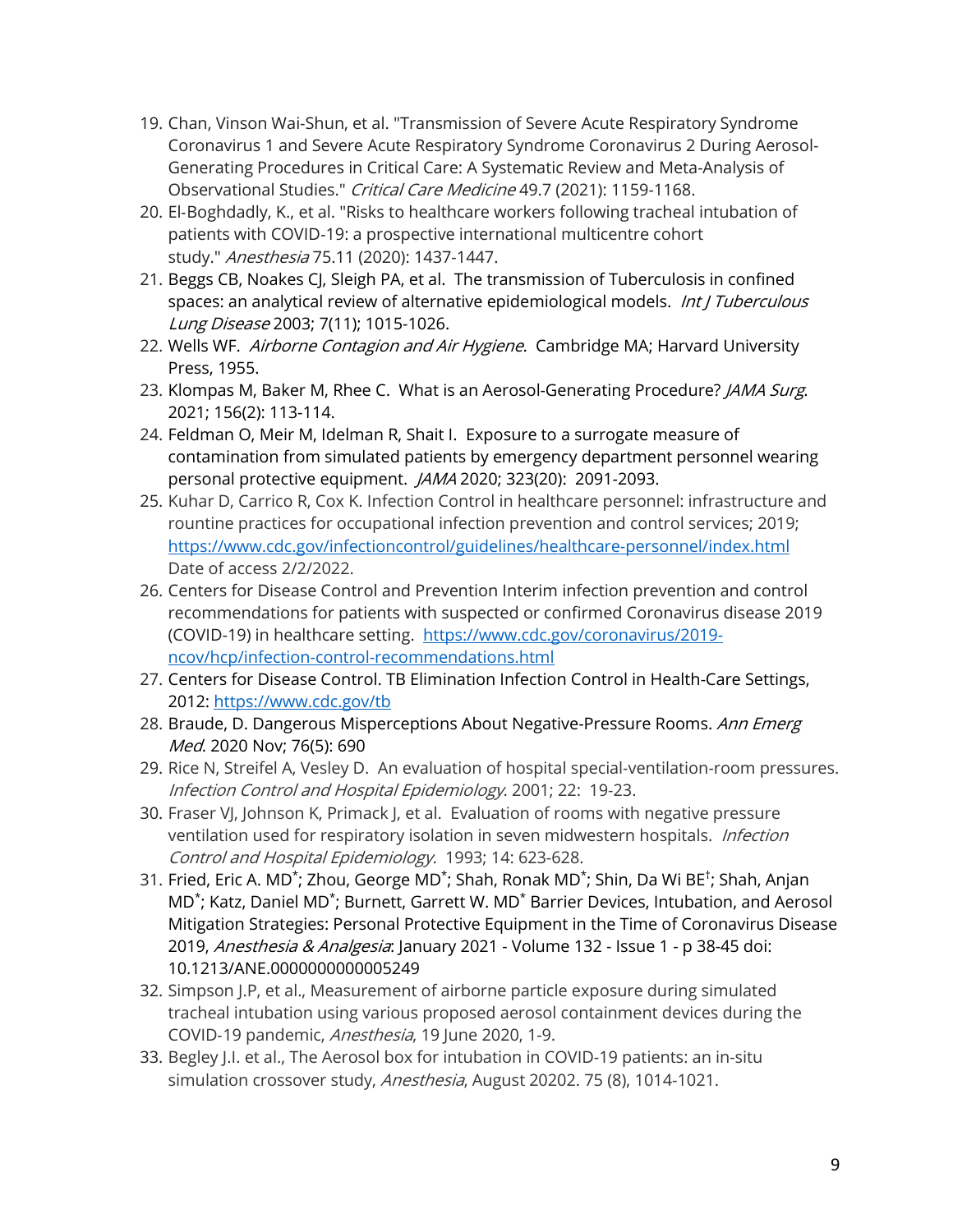- 19. Chan, Vinson Wai-Shun, et al. "Transmission of Severe Acute Respiratory Syndrome Coronavirus 1 and Severe Acute Respiratory Syndrome Coronavirus 2 During Aerosol-Generating Procedures in Critical Care: A Systematic Review and Meta-Analysis of Observational Studies." Critical Care Medicine 49.7 (2021): 1159-1168.
- 20. El‐Boghdadly, K., et al. "Risks to healthcare workers following tracheal intubation of patients with COVID‐19: a prospective international multicentre cohort study." Anesthesia 75.11 (2020): 1437-1447.
- 21. Beggs CB, Noakes CJ, Sleigh PA, et al. The transmission of Tuberculosis in confined spaces: an analytical review of alternative epidemiological models. *Int J Tuberculous* Lung Disease 2003; 7(11); 1015-1026.
- 22. Wells WF. Airborne Contagion and Air Hygiene. Cambridge MA; Harvard University Press, 1955.
- 23. Klompas M, Baker M, Rhee C. What is an Aerosol-Generating Procedure? JAMA Surg. 2021; 156(2): 113-114.
- 24. Feldman O, Meir M, Idelman R, Shait I. Exposure to a surrogate measure of contamination from simulated patients by emergency department personnel wearing personal protective equipment. JAMA 2020; 323(20): 2091-2093.
- 25. Kuhar D, Carrico R, Cox K. Infection Control in healthcare personnel: infrastructure and rountine practices for occupational infection prevention and control services; 2019; <https://www.cdc.gov/infectioncontrol/guidelines/healthcare-personnel/index.html> Date of access 2/2/2022.
- 26. Centers for Disease Control and Prevention Interim infection prevention and control recommendations for patients with suspected or confirmed Coronavirus disease 2019 (COVID-19) in healthcare setting. [https://www.cdc.gov/coronavirus/2019](https://www.cdc.gov/coronavirus/2019-ncov/hcp/infection-control-recommendations.html) [ncov/hcp/infection-control-recommendations.html](https://www.cdc.gov/coronavirus/2019-ncov/hcp/infection-control-recommendations.html)
- 27. Centers for Disease Control. TB Elimination Infection Control in Health-Care Settings, 2012:<https://www.cdc.gov/tb>
- 28. Braude, D. Dangerous Misperceptions About Negative-Pressure Rooms. Ann Emerg Med. 2020 Nov; 76(5): 690
- 29. Rice N, Streifel A, Vesley D. An evaluation of hospital special-ventilation-room pressures. Infection Control and Hospital Epidemiology. 2001; 22: 19-23.
- 30. Fraser VJ, Johnson K, Primack J, et al. Evaluation of rooms with negative pressure ventilation used for respiratory isolation in seven midwestern hospitals. Infection Control and Hospital Epidemiology. 1993; 14: 623-628.
- 31. Fried, Eric A. MD<sup>\*</sup>; Zhou, George MD<sup>\*</sup>; Shah, Ronak MD<sup>\*</sup>; Shin, Da Wi BE<sup>†</sup>; Shah, Anjan MD<sup>\*</sup>; Katz, Daniel MD<sup>\*</sup>; Burnett, Garrett W. MD<sup>\*</sup> Barrier Devices, Intubation, and Aerosol Mitigation Strategies: Personal Protective Equipment in the Time of Coronavirus Disease 2019, Anesthesia & Analgesia: January 2021 - Volume 132 - Issue 1 - p 38-45 doi: 10.1213/ANE.0000000000005249
- 32. Simpson J.P, et al., Measurement of airborne particle exposure during simulated tracheal intubation using various proposed aerosol containment devices during the COVID‐19 pandemic, Anesthesia, 19 June 2020, 1-9.
- 33. Begley J.I. et al., The Aerosol box for intubation in COVID-19 patients: an in-situ simulation crossover study, Anesthesia, August 20202. 75 (8), 1014-1021.